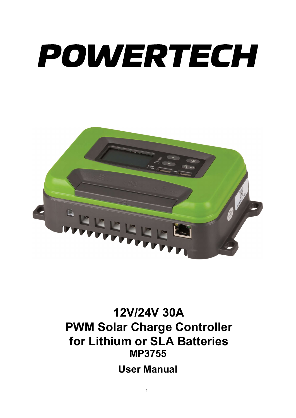# POWERTECH



# 12V/24V 30A PWM Solar Charge Controller for Lithium or SLA Batteries MP3755

User Manual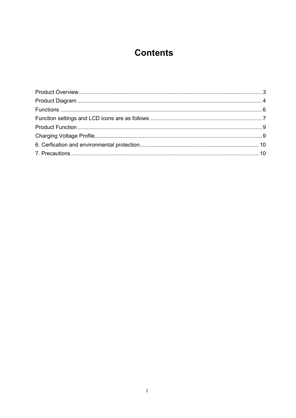# **Contents**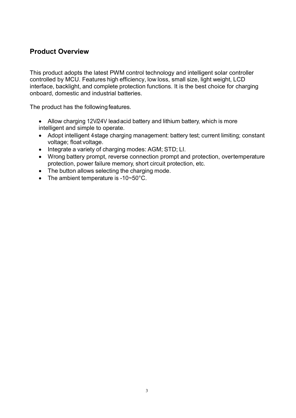## Product Overview

This product adopts the latest PWM control technology and intelligent solar controller controlled by MCU. Features high efficiency, low loss, small size, light weight, LCD interface, backlight, and complete protection functions. It is the best choice for charging onboard, domestic and industrial batteries.

The product has the following features.

- Allow charging 12V/24V lead acid battery and lithium battery, which is more intelligent and simple to operate.
- Adopt intelligent 4 stage charging management: battery test; current limiting; constant voltage; float voltage.
- Integrate a variety of charging modes: AGM; STD; LI.
- Wrong battery prompt, reverse connection prompt and protection, overtemperature protection, power failure memory, short circuit protection, etc.
- The button allows selecting the charging mode.
- The ambient temperature is -10~50°C.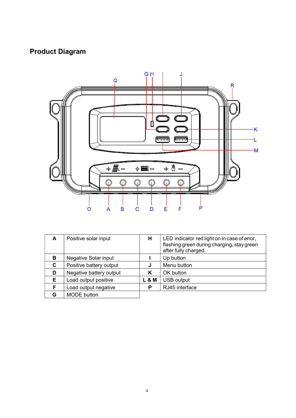# Product Diagram



| А | Positive solar input    | н                          | LED indicator red light on in case of error,<br>flashing green during charging, stay green<br>after fully charged. |  |
|---|-------------------------|----------------------------|--------------------------------------------------------------------------------------------------------------------|--|
| в | Negative Solar input    |                            | Up button                                                                                                          |  |
| C | Positive battery output | J                          | Menu button                                                                                                        |  |
| D | Negative battery output | Κ                          | OK button                                                                                                          |  |
| Е | Load output positive    | <b>USB</b> output<br>L & M |                                                                                                                    |  |
| F | Load output negative    | Ρ                          | RJ45 interface                                                                                                     |  |
| G | <b>MODE</b> button      |                            |                                                                                                                    |  |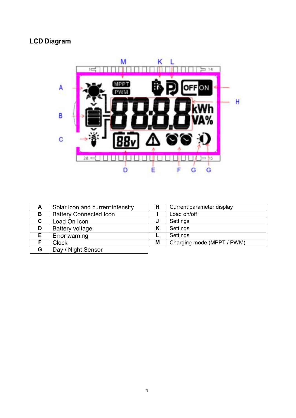# LCD Diagram



| A | Solar icon and current intensity | Н | Current parameter display  |
|---|----------------------------------|---|----------------------------|
| в | <b>Battery Connected Icon</b>    |   | Load on/off                |
| C | Load On Icon                     | J | Settings                   |
|   | <b>Battery voltage</b>           | Κ | Settings                   |
| Е | <b>Error warning</b>             |   | Settings                   |
|   | <b>Clock</b>                     | M | Charging mode (MPPT / PWM) |
| G | Day / Night Sensor               |   |                            |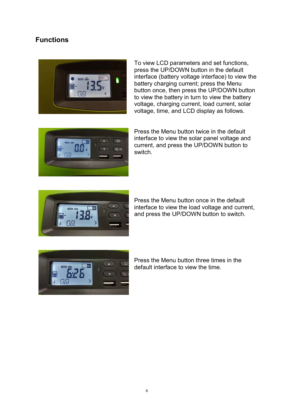## Functions



To view LCD parameters and set functions, press the UP/DOWN button in the default interface (battery voltage interface) to view the battery charging current; press the Menu button once, then press the UP/DOWN button to view the battery in turn to view the battery voltage, charging current, load current, solar voltage, time, and LCD display as follows.



Press the Menu button twice in the default interface to view the solar panel voltage and current, and press the UP/DOWN button to switch.



Press the Menu button once in the default interface to view the load voltage and current, and press the UP/DOWN button to switch.



Press the Menu button three times in the default interface to view the time.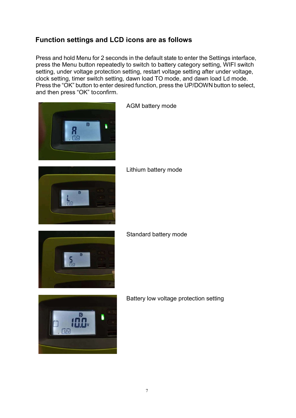## Function settings and LCD icons are as follows

Press and hold Menu for 2 seconds in the default state to enter the Settings interface, press the Menu button repeatedly to switch to battery category setting, WIFI switch setting, under voltage protection setting, restart voltage setting after under voltage, clock setting, timer switch setting, dawn load TO mode, and dawn load Ld mode. Press the "OK" button to enter desired function, press the UP/DOWN button to select, and then press "OK" to confirm.



AGM battery mode



#### Lithium battery mode

Standard battery mode



#### Battery low voltage protection setting

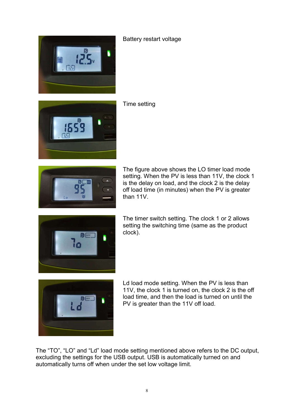#### Battery restart voltage



Time setting



The figure above shows the LO timer load mode setting. When the PV is less than 11V, the clock 1 is the delay on load, and the clock 2 is the delay off load time (in minutes) when the PV is greater than 11V.



The timer switch setting. The clock 1 or 2 allows setting the switching time (same as the product clock).



Ld load mode setting. When the PV is less than 11V, the clock 1 is turned on, the clock 2 is the off load time, and then the load is turned on until the PV is greater than the 11V off load.

The "TO", "LO" and "Ld" load mode setting mentioned above refers to the DC output, excluding the settings for the USB output. USB is automatically turned on and automatically turns off when under the set low voltage limit.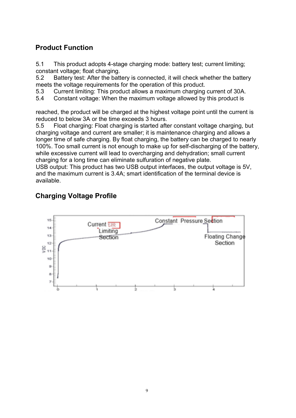# Product Function

5.1 This product adopts 4-stage charging mode: battery test; current limiting; constant voltage; float charging.

5.2 Battery test: After the battery is connected, it will check whether the battery meets the voltage requirements for the operation of this product.

5.3 Current limiting: This product allows a maximum charging current of 30A.

5.4 Constant voltage: When the maximum voltage allowed by this product is

reached, the product will be charged at the highest voltage point until the current is reduced to below 3A or the time exceeds 3 hours.

5.5 Float charging: Float charging is started after constant voltage charging, but charging voltage and current are smaller; it is maintenance charging and allows a longer time of safe charging. By float charging, the battery can be charged to nearly 100%. Too small current is not enough to make up for self-discharging of the battery, while excessive current will lead to overcharging and dehydration; small current charging for a long time can eliminate sulfuration of negative plate.

USB output: This product has two USB output interfaces, the output voltage is 5V, and the maximum current is 3.4A; smart identification of the terminal device is available.

# Charging Voltage Profile